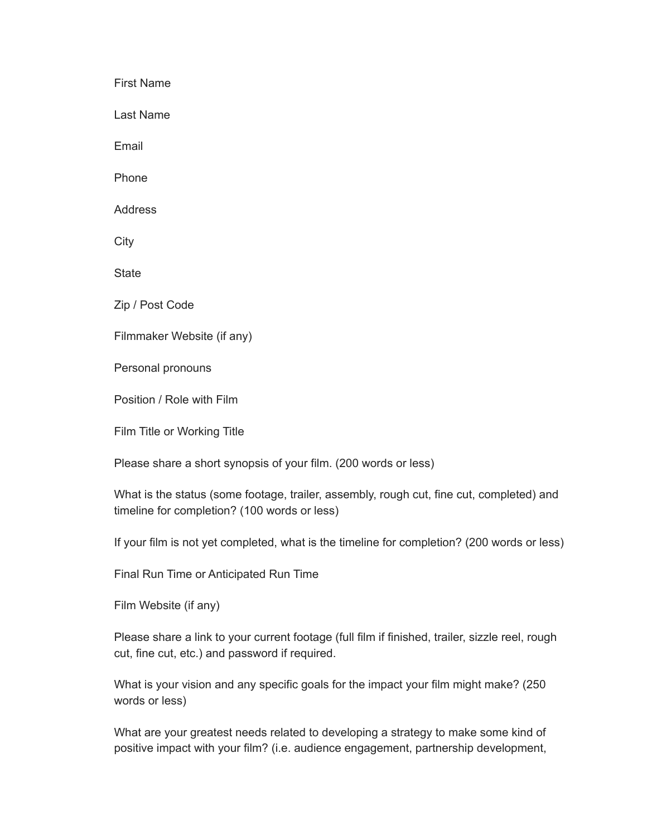First Name

Last Name

Email

Phone

Address

**City** 

**State** 

Zip / Post Code

Filmmaker Website (if any)

Personal pronouns

Position / Role with Film

Film Title or Working Title

Please share a short synopsis of your film. (200 words or less)

What is the status (some footage, trailer, assembly, rough cut, fine cut, completed) and timeline for completion? (100 words or less)

If your film is not yet completed, what is the timeline for completion? (200 words or less)

Final Run Time or Anticipated Run Time

Film Website (if any)

Please share a link to your current footage (full film if finished, trailer, sizzle reel, rough cut, fine cut, etc.) and password if required.

What is your vision and any specific goals for the impact your film might make? (250 words or less)

What are your greatest needs related to developing a strategy to make some kind of positive impact with your film? (i.e. audience engagement, partnership development,